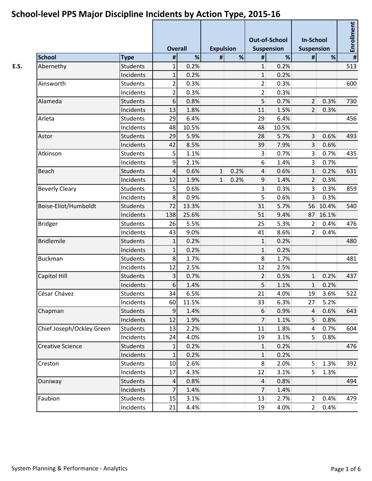|                           |                 |                | <b>Overall</b> |   | <b>Expulsion</b> |                | <b>Out-of-School</b><br><b>Suspension</b> | <b>In-School</b><br><b>Suspension</b> |          | <b>Enrollment</b> |  |
|---------------------------|-----------------|----------------|----------------|---|------------------|----------------|-------------------------------------------|---------------------------------------|----------|-------------------|--|
| <b>School</b>             | <b>Type</b>     | $\pmb{\sharp}$ | %              | # | %                | #              | %                                         | $\#$                                  | %        | #                 |  |
| Abernethy                 | <b>Students</b> | $\mathbf{1}$   | 0.2%           |   |                  | $\mathbf{1}$   | 0.2%                                      |                                       |          | 513               |  |
|                           | Incidents       | $\mathbf 1$    | 0.2%           |   |                  | $\mathbf{1}$   | 0.2%                                      |                                       |          |                   |  |
| Ainsworth                 | <b>Students</b> | $\overline{2}$ | 0.3%           |   |                  | 2 <sup>1</sup> | 0.3%                                      |                                       |          | 600               |  |
|                           | Incidents       | $\overline{2}$ | 0.3%           |   |                  | 2 <sup>1</sup> | 0.3%                                      |                                       |          |                   |  |
| Alameda                   | <b>Students</b> | 6              | 0.8%           |   |                  | 5              | 0.7%                                      | 2                                     | 0.3%     | 730               |  |
|                           | Incidents       | 13             | 1.8%           |   |                  | 11             | 1.5%                                      | $\overline{2}$                        | 0.3%     |                   |  |
| Arleta                    | <b>Students</b> | 29             | 6.4%           |   |                  | 29             | 6.4%                                      |                                       |          | 456               |  |
|                           | Incidents       | 48             | 10.5%          |   |                  | 48             | 10.5%                                     |                                       |          |                   |  |
| Astor                     | <b>Students</b> | 29             | 5.9%           |   |                  | 28             | 5.7%                                      | 3 <sup>1</sup>                        | 0.6%     | 493               |  |
|                           | Incidents       | 42             | 8.5%           |   |                  | 39             | 7.9%                                      | $\overline{3}$                        | 0.6%     |                   |  |
| Atkinson                  | <b>Students</b> | 5              | 1.1%           |   |                  | $\overline{3}$ | 0.7%                                      | $\overline{3}$                        | 0.7%     | 435               |  |
|                           | Incidents       | 9              | 2.1%           |   |                  | $6\,$          | 1.4%                                      | $\overline{3}$                        | 0.7%     |                   |  |
| Beach                     | <b>Students</b> | 4              | 0.6%           | 1 | 0.2%             | $\overline{4}$ | 0.6%                                      | $\mathbf{1}$                          | 0.2%     | 631               |  |
|                           | Incidents       | 12             | 1.9%           | 1 | 0.2%             | 9              | 1.4%                                      | $\overline{2}$                        | 0.3%     |                   |  |
| <b>Beverly Cleary</b>     | <b>Students</b> | 5              | 0.6%           |   |                  | 3 <sup>1</sup> | 0.3%                                      | $\overline{3}$                        | 0.3%     | 859               |  |
|                           | Incidents       | 8              | 0.9%           |   |                  | 5 <sup>1</sup> | 0.6%                                      | $\overline{3}$                        | 0.3%     |                   |  |
| Boise-Eliot/Humboldt      | <b>Students</b> | 72             | 13.3%          |   |                  | 31             | 5.7%                                      |                                       | 56 10.4% | 540               |  |
|                           | Incidents       | 138            | 25.6%          |   |                  | 51             | 9.4%                                      |                                       | 87 16.1% |                   |  |
| <b>Bridger</b>            | <b>Students</b> | 26             | 5.5%           |   |                  | 25             | 5.3%                                      | $\overline{2}$                        | 0.4%     | 476               |  |
|                           | Incidents       | 43             | 9.0%           |   |                  | 41             | 8.6%                                      | 2                                     | 0.4%     |                   |  |
| <b>Bridlemile</b>         | <b>Students</b> | 1              | 0.2%           |   |                  | $\mathbf{1}$   | 0.2%                                      |                                       |          | 480               |  |
|                           | Incidents       | 1              | 0.2%           |   |                  | $\mathbf{1}$   | 0.2%                                      |                                       |          |                   |  |
| <b>Buckman</b>            | <b>Students</b> | 8              | 1.7%           |   |                  | $\,8\,$        | 1.7%                                      |                                       |          | 481               |  |
|                           | Incidents       | 12             | 2.5%           |   |                  | 12             | 2.5%                                      |                                       |          |                   |  |
| Capitol Hill              | <b>Students</b> | 3              | 0.7%           |   |                  | $\overline{2}$ | 0.5%                                      | $1\overline{ }$                       | 0.2%     | 437               |  |
|                           | Incidents       | 6              | 1.4%           |   |                  | 5 <sup>1</sup> | 1.1%                                      | $1\overline{ }$                       | 0.2%     |                   |  |
| César Chávez              | Students        | 34             | 6.5%           |   |                  | 21             | 4.0%                                      |                                       | 19 3.6%  | 522               |  |
|                           | Incidents       | 60             | 11.5%          |   |                  | 33             | 6.3%                                      | 27                                    | 5.2%     |                   |  |
| Chapman                   | <b>Students</b> | 9              | 1.4%           |   |                  | $6\,$          | 0.9%                                      | $\overline{4}$                        | 0.6%     | 643               |  |
|                           | Incidents       | 12             | 1.9%           |   |                  | 7 <sup>1</sup> | 1.1%                                      | 5 <sup>1</sup>                        | 0.8%     |                   |  |
| Chief Joseph/Ockley Green | Students        | 13             | 2.2%           |   |                  | 11             | 1.8%                                      | $\vert 4 \vert$                       | 0.7%     | 604               |  |
|                           | Incidents       | 24             | 4.0%           |   |                  | 19             | 3.1%                                      | 5 <sup>1</sup>                        | 0.8%     |                   |  |
| <b>Creative Science</b>   | Students        | $\mathbf{1}$   | 0.2%           |   |                  | $1\vert$       | 0.2%                                      |                                       |          | 476               |  |
|                           | Incidents       | $\mathbf 1$    | 0.2%           |   |                  | $1\vert$       | 0.2%                                      |                                       |          |                   |  |
| Creston                   | Students        | 10             | 2.6%           |   |                  | 8              | 2.0%                                      | 5 <sup>1</sup>                        | 1.3%     | 392               |  |
|                           | Incidents       | 17             | 4.3%           |   |                  | 12             | 3.1%                                      | 5 <sup>2</sup>                        | 1.3%     |                   |  |
| Duniway                   | <b>Students</b> | 4              | 0.8%           |   |                  | $\overline{4}$ | 0.8%                                      |                                       |          | 494               |  |
|                           | Incidents       | 7              | 1.4%           |   |                  | 7 <sup>1</sup> | 1.4%                                      |                                       |          |                   |  |
| Faubion                   | Students        | 15             | 3.1%           |   |                  | 13             | 2.7%                                      | 2                                     | 0.4%     | 479               |  |
|                           | Incidents       | 21             | 4.4%           |   |                  | 19             | 4.0%                                      | 2 <sup>1</sup>                        | 0.4%     |                   |  |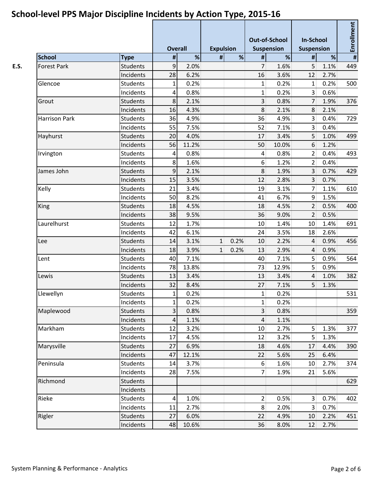|                      |                 |                | <b>Overall</b> |              | <b>Expulsion</b> |                         | <b>Out-of-School</b><br><b>Suspension</b> |                 | <b>In-School</b><br><b>Suspension</b> |                 |
|----------------------|-----------------|----------------|----------------|--------------|------------------|-------------------------|-------------------------------------------|-----------------|---------------------------------------|-----------------|
| <b>School</b>        | <b>Type</b>     | $\pmb{\sharp}$ | %              | #            | %                | #                       | %                                         | #               | %                                     | Enrollment<br># |
| <b>Forest Park</b>   | Students        | 9              | 2.0%           |              |                  | 7                       | 1.6%                                      | 5               | 1.1%                                  | 449             |
|                      | Incidents       | 28             | 6.2%           |              |                  | 16                      | 3.6%                                      | 12              | 2.7%                                  |                 |
| Glencoe              | <b>Students</b> | 1              | 0.2%           |              |                  | 1                       | 0.2%                                      | 1               | 0.2%                                  | 500             |
|                      | Incidents       | 4              | 0.8%           |              |                  | $\mathbf{1}$            | 0.2%                                      | 3 <sup>1</sup>  | 0.6%                                  |                 |
| Grout                | Students        | 8              | 2.1%           |              |                  | $\overline{3}$          | 0.8%                                      | 7               | 1.9%                                  | 376             |
|                      | Incidents       | 16             | 4.3%           |              |                  | 8                       | 2.1%                                      | $\,8\,$         | 2.1%                                  |                 |
| <b>Harrison Park</b> | <b>Students</b> | 36             | 4.9%           |              |                  | 36                      | 4.9%                                      | $\overline{3}$  | 0.4%                                  | 729             |
|                      | Incidents       | 55             | 7.5%           |              |                  | 52                      | 7.1%                                      | 3 <sup>1</sup>  | 0.4%                                  |                 |
| Hayhurst             | <b>Students</b> | 20             | 4.0%           |              |                  | 17                      | 3.4%                                      | 5               | 1.0%                                  | 499             |
|                      | Incidents       | 56             | 11.2%          |              |                  | 50                      | 10.0%                                     | 6               | 1.2%                                  |                 |
| Irvington            | Students        | 4              | 0.8%           |              |                  | $\vert 4 \vert$         | 0.8%                                      | $\overline{2}$  | 0.4%                                  | 493             |
|                      | Incidents       | 8              | 1.6%           |              |                  | $6 \overline{6}$        | 1.2%                                      | 2 <sup>1</sup>  | 0.4%                                  |                 |
| James John           | <b>Students</b> | 9              | 2.1%           |              |                  | 8                       | 1.9%                                      | 3 <sup>1</sup>  | 0.7%                                  | 429             |
|                      | Incidents       | 15             | 3.5%           |              |                  | 12                      | 2.8%                                      | 3 <sup>1</sup>  | 0.7%                                  |                 |
| Kelly                | Students        | 21             | 3.4%           |              |                  | 19                      | 3.1%                                      | 7 <sup>1</sup>  | 1.1%                                  | 610             |
|                      | Incidents       | 50             | 8.2%           |              |                  | 41                      | 6.7%                                      | $\mathfrak{g}$  | 1.5%                                  |                 |
| King                 | <b>Students</b> | 18             | 4.5%           |              |                  | 18                      | 4.5%                                      | 2               | 0.5%                                  | 400             |
|                      | Incidents       | 38             | 9.5%           |              |                  | 36                      | 9.0%                                      | 2               | 0.5%                                  |                 |
| Laurelhurst          | <b>Students</b> | 12             | 1.7%           |              |                  | 10                      | 1.4%                                      | 10              | 1.4%                                  | 691             |
|                      | Incidents       | 42             | 6.1%           |              |                  | 24                      | 3.5%                                      | 18              | 2.6%                                  |                 |
| Lee                  | <b>Students</b> | 14             | 3.1%           | $\mathbf{1}$ | 0.2%             | 10                      | 2.2%                                      | 4               | 0.9%                                  | 456             |
|                      | Incidents       | 18             | 3.9%           | $\mathbf{1}$ | 0.2%             | 13                      | 2.9%                                      | 4               | 0.9%                                  |                 |
| Lent                 | <b>Students</b> | 40             | 7.1%           |              |                  | 40                      | 7.1%                                      | 5               | 0.9%                                  | 564             |
|                      | Incidents       | 78             | 13.8%          |              |                  | 73                      | 12.9%                                     | 5               | 0.9%                                  |                 |
| Lewis                | Students        | 13             | 3.4%           |              |                  | 13                      | 3.4%                                      | 4               | 1.0%                                  | 382             |
|                      | Incidents       | 32             | 8.4%           |              |                  | 27                      | 7.1%                                      | 5               | 1.3%                                  |                 |
| Llewellyn            | Students        | $1\vert$       | 0.2%           |              |                  | $1\vert$                | 0.2%                                      |                 |                                       | 531             |
|                      | Incidents       | 1              | 0.2%           |              |                  | $1\vert$                | 0.2%                                      |                 |                                       |                 |
| Maplewood            | <b>Students</b> | $\vert$ 3      | 0.8%           |              |                  | $\overline{\mathbf{3}}$ | 0.8%                                      |                 |                                       | 359             |
|                      | Incidents       | 4              | 1.1%           |              |                  | $\overline{4}$          | 1.1%                                      |                 |                                       |                 |
| Markham              | <b>Students</b> | 12             | 3.2%           |              |                  | 10                      | 2.7%                                      | 5 <sup>2</sup>  | 1.3%                                  | 377             |
|                      | Incidents       | 17             | 4.5%           |              |                  | 12                      | 3.2%                                      | 5 <sup>1</sup>  | 1.3%                                  |                 |
| Marysville           | <b>Students</b> | 27             | 6.9%           |              |                  | 18                      | 4.6%                                      | 17              | 4.4%                                  | 390             |
|                      | Incidents       | 47             | 12.1%          |              |                  | 22                      | 5.6%                                      | 25              | 6.4%                                  |                 |
| Peninsula            | Students        | 14             | 3.7%           |              |                  | $6 \mid$                | 1.6%                                      | 10 <sup>1</sup> | 2.7%                                  | 374             |
|                      | Incidents       | 28             | 7.5%           |              |                  | 7 <sup>1</sup>          | 1.9%                                      | 21              | 5.6%                                  |                 |
| Richmond             | Students        |                |                |              |                  |                         |                                           |                 |                                       | 629             |
|                      | Incidents       |                |                |              |                  |                         |                                           |                 |                                       |                 |
| Rieke                | <b>Students</b> | 4              | 1.0%           |              |                  | $\overline{2}$          | 0.5%                                      | 3 <sup>1</sup>  | 0.7%                                  | 402             |
|                      | Incidents       | 11             | 2.7%           |              |                  | 8 <sup>°</sup>          | 2.0%                                      | $\overline{3}$  | 0.7%                                  |                 |
| Rigler               | <b>Students</b> | 27             | 6.0%           |              |                  | 22                      | 4.9%                                      | 10              | 2.2%                                  | 451             |
|                      | Incidents       | 48             | 10.6%          |              |                  | 36                      | 8.0%                                      | 12              | 2.7%                                  |                 |
|                      |                 |                |                |              |                  |                         |                                           |                 |                                       |                 |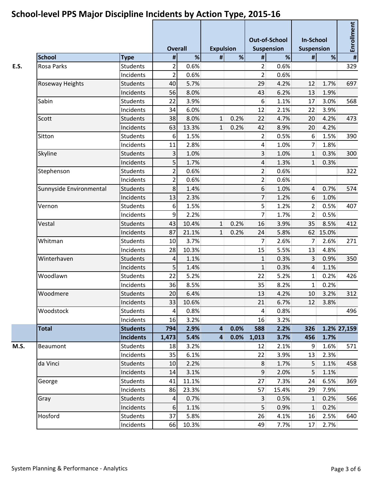|                         |                  | <b>Overall</b>  |       | <b>Expulsion</b> |      |                | <b>Out-of-School</b><br><b>Suspension</b> | <b>In-School</b><br><b>Suspension</b> |         | Enrollment              |  |
|-------------------------|------------------|-----------------|-------|------------------|------|----------------|-------------------------------------------|---------------------------------------|---------|-------------------------|--|
| <b>School</b>           | <b>Type</b>      | $\pmb{\#}$      | %     | #                | %    | #              | $\%$                                      | $\pmb{\#}$                            | %       | $\overline{\mathbf{H}}$ |  |
| <b>Rosa Parks</b>       | <b>Students</b>  | 2               | 0.6%  |                  |      | $\overline{2}$ | 0.6%                                      |                                       |         | 329                     |  |
|                         | Incidents        | $\overline{2}$  | 0.6%  |                  |      | $\overline{2}$ | 0.6%                                      |                                       |         |                         |  |
| Roseway Heights         | <b>Students</b>  | 40              | 5.7%  |                  |      | 29             | 4.2%                                      | 12                                    | 1.7%    | 697                     |  |
|                         | Incidents        | 56              | 8.0%  |                  |      | 43             | 6.2%                                      | 13                                    | 1.9%    |                         |  |
| Sabin                   | <b>Students</b>  | 22              | 3.9%  |                  |      | 6              | 1.1%                                      | 17                                    | 3.0%    | 568                     |  |
|                         | Incidents        | 34              | 6.0%  |                  |      | 12             | 2.1%                                      | 22                                    | 3.9%    |                         |  |
| Scott                   | <b>Students</b>  | 38              | 8.0%  | 1                | 0.2% | 22             | 4.7%                                      | 20                                    | 4.2%    | 473                     |  |
|                         | Incidents        | 63              | 13.3% | 1                | 0.2% | 42             | 8.9%                                      | 20                                    | 4.2%    |                         |  |
| Sitton                  | <b>Students</b>  | 6               | 1.5%  |                  |      | $\overline{2}$ | 0.5%                                      | 6                                     | 1.5%    | 390                     |  |
|                         | Incidents        | 11              | 2.8%  |                  |      | $\overline{4}$ | 1.0%                                      | 7 <sup>1</sup>                        | 1.8%    |                         |  |
| Skyline                 | <b>Students</b>  | 3               | 1.0%  |                  |      | $\overline{3}$ | 1.0%                                      | 1                                     | 0.3%    | 300                     |  |
|                         | Incidents        | 5               | 1.7%  |                  |      | $\overline{4}$ | 1.3%                                      | $\mathbf{1}$                          | 0.3%    |                         |  |
| Stephenson              | <b>Students</b>  | $\overline{2}$  | 0.6%  |                  |      | 2              | 0.6%                                      |                                       |         | 322                     |  |
|                         | Incidents        | $\overline{2}$  | 0.6%  |                  |      | 2 <sup>1</sup> | 0.6%                                      |                                       |         |                         |  |
| Sunnyside Environmental | <b>Students</b>  | 8               | 1.4%  |                  |      | 6              | 1.0%                                      | $\overline{4}$                        | 0.7%    | 574                     |  |
|                         | Incidents        | 13              | 2.3%  |                  |      | $\overline{7}$ | 1.2%                                      | 6                                     | 1.0%    |                         |  |
| Vernon<br>Vestal        | <b>Students</b>  | 6               | 1.5%  |                  |      | 5 <sup>1</sup> | 1.2%                                      | $\overline{2}$                        | 0.5%    | 407                     |  |
|                         | Incidents        | 9               | 2.2%  |                  |      | 7 <sup>1</sup> | 1.7%                                      | $\overline{2}$                        | 0.5%    |                         |  |
|                         | <b>Students</b>  | 43              | 10.4% | 1                | 0.2% | 16             | 3.9%                                      | 35                                    | 8.5%    | 412                     |  |
|                         | Incidents        | 87              | 21.1% | 1                | 0.2% | 24             | 5.8%                                      | 62                                    | 15.0%   |                         |  |
| Whitman                 | <b>Students</b>  | 10              | 3.7%  |                  |      | 7 <sup>1</sup> | 2.6%                                      | $\overline{7}$                        | 2.6%    | 271                     |  |
|                         | Incidents        | 28              | 10.3% |                  |      | 15             | 5.5%                                      | 13                                    | 4.8%    |                         |  |
| Winterhaven             | <b>Students</b>  | 4               | 1.1%  |                  |      | 1              | 0.3%                                      | 3 <sup>1</sup>                        | 0.9%    | 350                     |  |
|                         | Incidents        | 5               | 1.4%  |                  |      | $\mathbf{1}$   | 0.3%                                      | $\overline{4}$                        | 1.1%    |                         |  |
| Woodlawn                | <b>Students</b>  | 22              | 5.2%  |                  |      | 22             | 5.2%                                      | $\mathbf{1}$                          | 0.2%    | 426                     |  |
|                         | Incidents        | 36              | 8.5%  |                  |      | 35             | 8.2%                                      | $1\vert$                              | 0.2%    |                         |  |
| Woodmere                | Students         | 20 <sub>2</sub> | 6.4%  |                  |      | 13             | 4.2%                                      |                                       | 10 3.2% | 312                     |  |
|                         | Incidents        | 33              | 10.6% |                  |      | 21             | 6.7%                                      | 12                                    | 3.8%    |                         |  |
| Woodstock               | <b>Students</b>  | 4               | 0.8%  |                  |      | $\overline{4}$ | 0.8%                                      |                                       |         | 496                     |  |
|                         | Incidents        | 16              | 3.2%  |                  |      | 16             | 3.2%                                      |                                       |         |                         |  |
| <b>Total</b>            | <b>Students</b>  | 794             | 2.9%  | $\overline{4}$   | 0.0% | 588            | 2.2%                                      | 326                                   |         | 1.2% 27,159             |  |
|                         | <b>Incidents</b> | 1,473           | 5.4%  | $\overline{4}$   | 0.0% | 1,013          | 3.7%                                      | 456                                   | 1.7%    |                         |  |
| Beaumont                | <b>Students</b>  | 18              | 3.2%  |                  |      | 12             | 2.1%                                      | $\vert 9 \vert$                       | 1.6%    | 571                     |  |
| da Vinci<br>George      | Incidents        | 35              | 6.1%  |                  |      | 22             | 3.9%                                      | 13                                    | 2.3%    |                         |  |
|                         | <b>Students</b>  | 10              | 2.2%  |                  |      | 8              | 1.7%                                      | 5                                     | 1.1%    | 458                     |  |
|                         | Incidents        | 14              | 3.1%  |                  |      | 9              | 2.0%                                      | 5 <sup>1</sup>                        | 1.1%    |                         |  |
|                         | Students         | 41              | 11.1% |                  |      | 27             | 7.3%                                      | 24                                    | 6.5%    | 369                     |  |
|                         | Incidents        | 86              | 23.3% |                  |      | 57             | 15.4%                                     | 29                                    | 7.9%    |                         |  |
| Gray                    | <b>Students</b>  | 4               | 0.7%  |                  |      | 3              | 0.5%                                      | $\mathbf{1}$                          | 0.2%    | 566                     |  |
|                         | Incidents        | 6               | 1.1%  |                  |      | 5 <sub>1</sub> | 0.9%                                      | $\mathbf{1}$                          | 0.2%    |                         |  |
| Hosford                 | Students         | 37              | 5.8%  |                  |      | 26             | 4.1%                                      | 16                                    | 2.5%    | 640                     |  |
|                         | Incidents        | 66              | 10.3% |                  |      | 49             | 7.7%                                      | 17                                    | 2.7%    |                         |  |
|                         |                  |                 |       |                  |      |                |                                           |                                       |         |                         |  |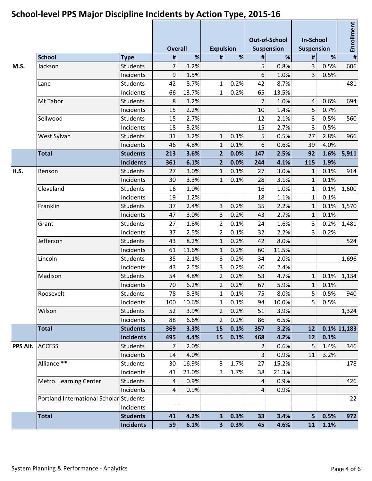|          |                                         |                  | <b>Overall</b> |       | <b>Expulsion</b>        |      | <b>Out-of-School</b><br><b>Suspension</b> |       | <b>In-School</b><br><b>Suspension</b> |            | $\frac{1}{1 + \frac{1}{2}}$ |  |
|----------|-----------------------------------------|------------------|----------------|-------|-------------------------|------|-------------------------------------------|-------|---------------------------------------|------------|-----------------------------|--|
|          | <b>School</b>                           | <b>Type</b>      | $\pmb{\sharp}$ | %     | #                       | %    | #                                         | $\%$  | #                                     | $\%$       |                             |  |
| M.S.     | Jackson                                 | <b>Students</b>  | $\overline{7}$ | 1.2%  |                         |      | 5                                         | 0.8%  | 3                                     | 0.5%       | 606                         |  |
|          |                                         | Incidents        | 9              | 1.5%  |                         |      | 6                                         | 1.0%  | 3                                     | 0.5%       |                             |  |
|          | Lane                                    | <b>Students</b>  | 42             | 8.7%  | $\mathbf{1}$            | 0.2% | 42                                        | 8.7%  |                                       |            | 481                         |  |
|          |                                         | Incidents        | 66             | 13.7% | $\mathbf{1}$            | 0.2% | 65                                        | 13.5% |                                       |            |                             |  |
|          | Mt Tabor                                | <b>Students</b>  | 8              | 1.2%  |                         |      | $\overline{7}$                            | 1.0%  | 4                                     | 0.6%       | 694                         |  |
|          |                                         | Incidents        | 15             | 2.2%  |                         |      | 10                                        | 1.4%  | 5                                     | 0.7%       |                             |  |
|          | Sellwood                                | <b>Students</b>  | 15             | 2.7%  |                         |      | 12                                        | 2.1%  | 3                                     | 0.5%       | 560                         |  |
|          |                                         | Incidents        | 18             | 3.2%  |                         |      | 15                                        | 2.7%  | 3                                     | 0.5%       |                             |  |
|          | West Sylvan                             | <b>Students</b>  | 31             | 3.2%  | $\mathbf{1}$            | 0.1% | 5                                         | 0.5%  | 27                                    | 2.8%       | 966                         |  |
|          |                                         | Incidents        | 46             | 4.8%  | $\mathbf{1}$            | 0.1% | $6\,$                                     | 0.6%  | 39                                    | 4.0%       |                             |  |
|          | <b>Total</b>                            | <b>Students</b>  | 213            | 3.6%  | 2 <sup>1</sup>          | 0.0% | 147                                       | 2.5%  | 92                                    | 1.6%       | 5,911                       |  |
|          |                                         | <b>Incidents</b> | 361            | 6.1%  | $\overline{2}$          | 0.0% | 244                                       | 4.1%  | 115                                   | 1.9%       |                             |  |
| H.S.     | Benson                                  | <b>Students</b>  | 27             | 3.0%  | $\mathbf{1}$            | 0.1% | 27                                        | 3.0%  | $\mathbf{1}$                          | 0.1%       | 914                         |  |
|          |                                         | Incidents        | 30             | 3.3%  | $\mathbf{1}$            | 0.1% | 28                                        | 3.1%  | $1\overline{ }$                       | 0.1%       |                             |  |
|          | Cleveland                               | <b>Students</b>  | 16             | 1.0%  |                         |      | 16                                        | 1.0%  | $1\vert$                              | 0.1%       | 1,600                       |  |
|          |                                         | Incidents        | 19             | 1.2%  |                         |      | 18                                        | 1.1%  | $\mathbf{1}$                          | 0.1%       |                             |  |
|          | Franklin                                | <b>Students</b>  | 37             | 2.4%  | $\overline{3}$          | 0.2% | 35                                        | 2.2%  | $\mathbf{1}$                          | 0.1%       | 1,570                       |  |
|          |                                         | Incidents        | 47             | 3.0%  | 3                       | 0.2% | 43                                        | 2.7%  | $\mathbf{1}$                          | 0.1%       |                             |  |
|          | Grant                                   | Students         | 27             | 1.8%  | $\overline{2}$          | 0.1% | 24                                        | 1.6%  | 3                                     | 0.2%       | 1,481                       |  |
|          |                                         | Incidents        | 37             | 2.5%  | $\overline{2}$          | 0.1% | 32                                        | 2.2%  | 3 <sup>1</sup>                        | 0.2%       |                             |  |
|          | Jefferson                               | <b>Students</b>  | 43             | 8.2%  | $\mathbf{1}$            | 0.2% | 42                                        | 8.0%  |                                       |            | 524                         |  |
|          |                                         | Incidents        | 61             | 11.6% | 1                       | 0.2% | 60                                        | 11.5% |                                       |            |                             |  |
|          | Lincoln                                 | <b>Students</b>  | 35             | 2.1%  | 3                       | 0.2% | 34                                        | 2.0%  |                                       |            | 1,696                       |  |
|          |                                         | Incidents        | 43             | 2.5%  | 3                       | 0.2% | 40                                        | 2.4%  |                                       |            |                             |  |
|          | Madison                                 | <b>Students</b>  | 54             | 4.8%  | 2                       | 0.2% | 53                                        | 4.7%  | 1                                     | 0.1%       | 1,134                       |  |
|          |                                         | Incidents        | 70             | 6.2%  | $\overline{2}$          | 0.2% | 67                                        | 5.9%  | $1\overline{ }$                       | 0.1%       |                             |  |
|          | Roosevelt                               | Students         | 78             | 8.3%  | $1\vert$                | 0.1% | 75                                        | 8.0%  |                                       | $5 0.5\% $ | 940                         |  |
|          |                                         | Incidents        | 100            | 10.6% | 1                       | 0.1% | 94                                        | 10.0% | 5 <sup>1</sup>                        | 0.5%       |                             |  |
|          | Wilson                                  | <b>Students</b>  | 52             | 3.9%  | 2                       | 0.2% | 51                                        | 3.9%  |                                       |            | 1,324                       |  |
|          |                                         | Incidents        | 88             | 6.6%  | 2                       | 0.2% | 86                                        | 6.5%  |                                       |            |                             |  |
|          | <b>Total</b>                            | <b>Students</b>  | 369            | 3.3%  | <b>15</b>               | 0.1% | 357                                       | 3.2%  | 12                                    |            | 0.1% 11,183                 |  |
|          |                                         | <b>Incidents</b> | 495            | 4.4%  | <b>15</b>               | 0.1% | 468                                       | 4.2%  | 12                                    | 0.1%       |                             |  |
| PPS Alt. | <b>ACCESS</b>                           | <b>Students</b>  | 7              | 2.0%  |                         |      | $\overline{2}$                            | 0.6%  | 5                                     | 1.4%       | 346                         |  |
|          |                                         | Incidents        | 14             | 4.0%  |                         |      | $\overline{3}$                            | 0.9%  | 11                                    | 3.2%       |                             |  |
|          | Alliance **                             | <b>Students</b>  | 30             | 16.9% | 3                       | 1.7% | 27                                        | 15.2% |                                       |            | 178                         |  |
|          |                                         | Incidents        | 41             | 23.0% | $\overline{3}$          | 1.7% | 38                                        | 21.3% |                                       |            |                             |  |
|          | Metro. Learning Center                  | <b>Students</b>  | 4              | 0.9%  |                         |      | $\overline{4}$                            | 0.9%  |                                       |            | 426                         |  |
|          |                                         | Incidents        | 4              | 0.9%  |                         |      | $\overline{4}$                            | 0.9%  |                                       |            |                             |  |
|          | Portland International Scholar Students |                  |                |       |                         |      |                                           |       |                                       |            | 22                          |  |
|          |                                         | Incidents        |                |       |                         |      |                                           |       |                                       |            |                             |  |
|          | <b>Total</b>                            | <b>Students</b>  | 41             | 4.2%  | $\overline{\mathbf{3}}$ | 0.3% | 33                                        | 3.4%  | 5 <sub>1</sub>                        | 0.5%       | 972                         |  |
|          |                                         | <b>Incidents</b> | 59             | 6.1%  | 3                       | 0.3% | 45                                        | 4.6%  | 11                                    | 1.1%       |                             |  |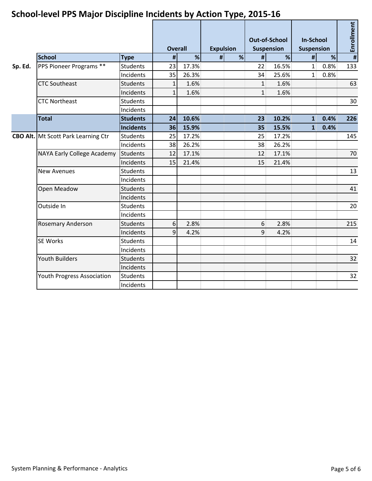|         |                                            |                  | <b>Overall</b> |       | <b>Expulsion</b> |   | <b>Out-of-School</b><br><b>Suspension</b> |       | <b>In-School</b><br><b>Suspension</b> |      | Enrollment    |  |
|---------|--------------------------------------------|------------------|----------------|-------|------------------|---|-------------------------------------------|-------|---------------------------------------|------|---------------|--|
|         | <b>School</b>                              | <b>Type</b>      | $\pmb{\sharp}$ | %     | #                | % | #                                         | %     | #                                     | %    | $\frac{1}{2}$ |  |
| Sp. Ed. | PPS Pioneer Programs **                    | <b>Students</b>  | 23             | 17.3% |                  |   | 22                                        | 16.5% | $\mathbf{1}$                          | 0.8% | 133           |  |
|         |                                            | <b>Incidents</b> | 35             | 26.3% |                  |   | 34                                        | 25.6% | 1 <sup>1</sup>                        | 0.8% |               |  |
|         | <b>CTC Southeast</b>                       | <b>Students</b>  | $\mathbf{1}$   | 1.6%  |                  |   | $\mathbf{1}$                              | 1.6%  |                                       |      | 63            |  |
|         |                                            | Incidents        | $\mathbf{1}$   | 1.6%  |                  |   | 1                                         | 1.6%  |                                       |      |               |  |
|         | <b>CTC Northeast</b>                       | <b>Students</b>  |                |       |                  |   |                                           |       |                                       |      | 30            |  |
|         |                                            | Incidents        |                |       |                  |   |                                           |       |                                       |      |               |  |
|         | <b>Total</b>                               | <b>Students</b>  | 24             | 10.6% |                  |   | 23                                        | 10.2% | $\mathbf{1}$                          | 0.4% | 226           |  |
|         |                                            | <b>Incidents</b> | 36             | 15.9% |                  |   | 35                                        | 15.5% | $\mathbf{1}$                          | 0.4% |               |  |
|         | <b>CBO Alt.</b> Mt Scott Park Learning Ctr | <b>Students</b>  | 25             | 17.2% |                  |   | 25                                        | 17.2% |                                       |      | 145           |  |
|         |                                            | Incidents        | 38             | 26.2% |                  |   | 38                                        | 26.2% |                                       |      |               |  |
|         | NAYA Early College Academy                 | Students         | 12             | 17.1% |                  |   | 12                                        | 17.1% |                                       |      | 70            |  |
|         |                                            | Incidents        | 15             | 21.4% |                  |   | 15                                        | 21.4% |                                       |      |               |  |
|         | <b>New Avenues</b>                         | <b>Students</b>  |                |       |                  |   |                                           |       |                                       |      | 13            |  |
|         |                                            | Incidents        |                |       |                  |   |                                           |       |                                       |      |               |  |
|         | Open Meadow                                | <b>Students</b>  |                |       |                  |   |                                           |       |                                       |      | 41            |  |
|         |                                            | Incidents        |                |       |                  |   |                                           |       |                                       |      |               |  |
|         | Outside In                                 | <b>Students</b>  |                |       |                  |   |                                           |       |                                       |      | 20            |  |
|         |                                            | Incidents        |                |       |                  |   |                                           |       |                                       |      |               |  |
|         | <b>Rosemary Anderson</b>                   | <b>Students</b>  | 6              | 2.8%  |                  |   | $6 \mid$                                  | 2.8%  |                                       |      | 215           |  |
|         |                                            | Incidents        | $\overline{9}$ | 4.2%  |                  |   | $\overline{9}$                            | 4.2%  |                                       |      |               |  |
|         | <b>SE Works</b>                            | <b>Students</b>  |                |       |                  |   |                                           |       |                                       |      | 14            |  |
|         |                                            | Incidents        |                |       |                  |   |                                           |       |                                       |      |               |  |
|         | <b>Youth Builders</b>                      | <b>Students</b>  |                |       |                  |   |                                           |       |                                       |      | 32            |  |
|         |                                            | Incidents        |                |       |                  |   |                                           |       |                                       |      |               |  |
|         | Youth Progress Association                 | Students         |                |       |                  |   |                                           |       |                                       |      | 32            |  |
|         |                                            | Incidents        |                |       |                  |   |                                           |       |                                       |      |               |  |